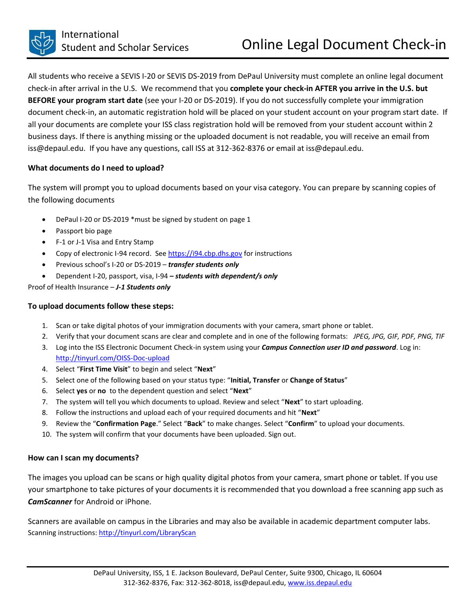All students who receive a SEVIS I-20 or SEVIS DS-2019 from DePaul University must complete an online legal document check-in after arrival in the U.S. We recommend that you **complete your check-in AFTER you arrive in the U.S. but BEFORE your program start date** (see your I-20 or DS-2019). If you do not successfully complete your immigration document check-in, an automatic registration hold will be placed on your student account on your program start date. If all your documents are complete your ISS class registration hold will be removed from your student account within 2 business days. If there is anything missing or the uploaded document is not readable, you will receive an email from iss@depaul.edu. If you have any questions, call ISS at 312-362-8376 or email at iss@depaul.edu.

## **What documents do I need to upload?**

The system will prompt you to upload documents based on your visa category. You can prepare by scanning copies of the following documents

- DePaul I-20 or DS-2019 \*must be signed by student on page 1
- Passport bio page
- F-1 or J-1 Visa and Entry Stamp
- Copy of electronic I-94 record. Se[e https://i94.cbp.dhs.gov](https://i94.cbp.dhs.gov/) for instructions
- Previous school's I-20 or DS-2019 *transfer students only*
- Dependent I-20, passport, visa, I-94 *– students with dependent/s only*

Proof of Health Insurance – *J-1 Students only*

## **To upload documents follow these steps:**

- 1. Scan or take digital photos of your immigration documents with your camera, smart phone or tablet.
- 2. Verify that your document scans are clear and complete and in one of the following formats: *JPEG, JPG, GIF, PDF, PNG, TIF*
- 3. Log into the ISS Electronic Document Check-in system using your *Campus Connection user ID and password*. Log in: <http://tinyurl.com/OISS-Doc-upload>
- 4. Select "**First Time Visit**" to begin and select "**Next**"
- 5. Select one of the following based on your status type: "**Initial, Transfer** or **Change of Status**"
- 6. Select **yes** or **no** to the dependent question and select "**Next**"
- 7. The system will tell you which documents to upload. Review and select "**Next**" to start uploading.
- 8. Follow the instructions and upload each of your required documents and hit "**Next**"
- 9. Review the "**Confirmation Page**." Select "**Back**" to make changes. Select "**Confirm**" to upload your documents.
- 10. The system will confirm that your documents have been uploaded. Sign out.

## **How can I scan my documents?**

The images you upload can be scans or high quality digital photos from your camera, smart phone or tablet. If you use your smartphone to take pictures of your documents it is recommended that you download a free scanning app such as *CamScanner* for Android or iPhone.

Scanners are available on campus in the Libraries and may also be available in academic department computer labs. Scanning instructions: <http://tinyurl.com/LibraryScan>